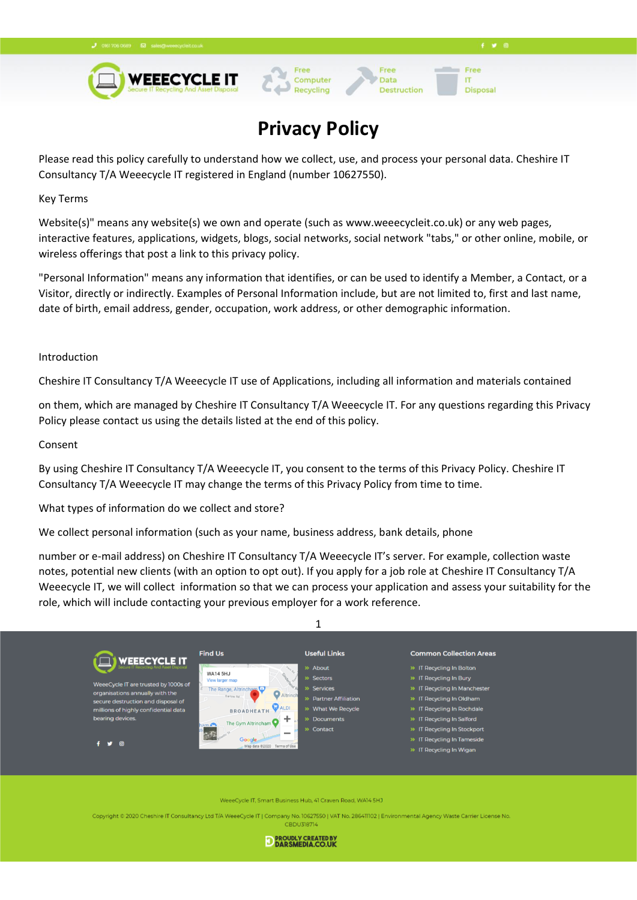

# **Privacy Policy**

Computer

Recycling

Free

Data

Destruction

Free

**Disposal** 

**IT** 

Please read this policy carefully to understand how we collect, use, and process your personal data. Cheshire IT Consultancy T/A Weeecycle IT registered in England (number 10627550).

Key Terms

Website(s)" means any website(s) we own and operate (such as www.weeecycleit.co.uk) or any web pages, interactive features, applications, widgets, blogs, social networks, social network "tabs," or other online, mobile, or wireless offerings that post a link to this privacy policy.

"Personal Information" means any information that identifies, or can be used to identify a Member, a Contact, or a Visitor, directly or indirectly. Examples of Personal Information include, but are not limited to, first and last name, date of birth, email address, gender, occupation, work address, or other demographic information.

### Introduction

Cheshire IT Consultancy T/A Weeecycle IT use of Applications, including all information and materials contained

on them, which are managed by Cheshire IT Consultancy T/A Weeecycle IT. For any questions regarding this Privacy Policy please contact us using the details listed at the end of this policy.

#### Consent

By using Cheshire IT Consultancy T/A Weeecycle IT, you consent to the terms of this Privacy Policy. Cheshire IT Consultancy T/A Weeecycle IT may change the terms of this Privacy Policy from time to time.

What types of information do we collect and store?

We collect personal information (such as your name, business address, bank details, phone

number or e-mail address) on Cheshire IT Consultancy T/A Weeecycle IT's server. For example, collection waste notes, potential new clients (with an option to opt out). If you apply for a job role at Cheshire IT Consultancy T/A Weeecycle IT, we will collect information so that we can process your application and assess your suitability for the role, which will include contacting your previous employer for a work reference.



WeeeCycle IT, Smart Business Hub, 41 Craven Road, WA14 5HJ

Copyright © 2020 Cheshire IT Consultancy Ltd T/A WeeeCycle IT | Company No. 10627550 | VAT No. 286411102 | Environmental Agency Waste Carrier Lice **CBDU318714** 

D PROUDLY CREATED BY DARSMEDIA.CO.UK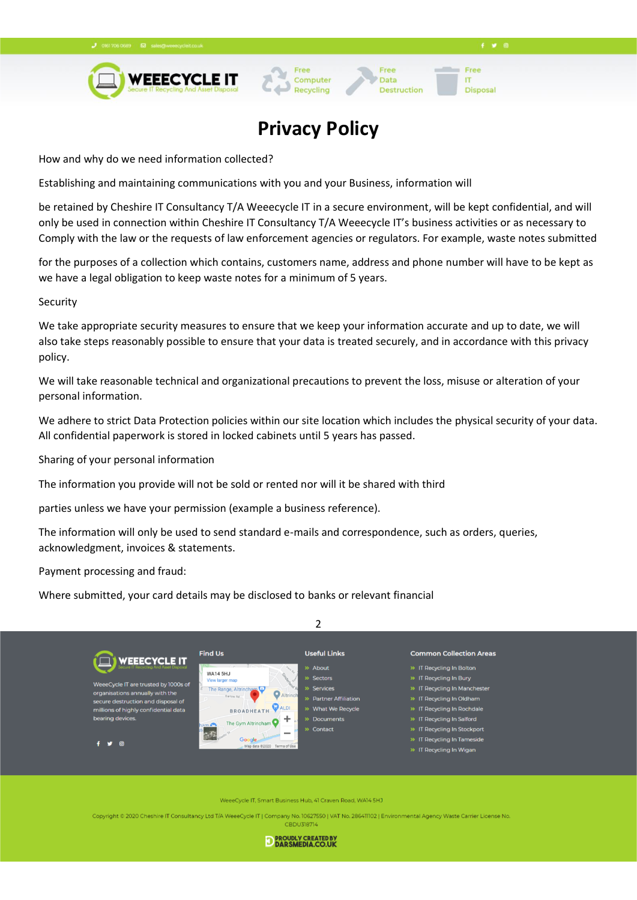

# **Privacy Policy**

Computer

Recycling

Free

Data

**Destruction** 

 $f \times 0$ 

Free

**Disposal** 

**IT** 

How and why do we need information collected?

Establishing and maintaining communications with you and your Business, information will

be retained by Cheshire IT Consultancy T/A Weeecycle IT in a secure environment, will be kept confidential, and will only be used in connection within Cheshire IT Consultancy T/A Weeecycle IT's business activities or as necessary to Comply with the law or the requests of law enforcement agencies or regulators. For example, waste notes submitted

for the purposes of a collection which contains, customers name, address and phone number will have to be kept as we have a legal obligation to keep waste notes for a minimum of 5 years.

### Security

We take appropriate security measures to ensure that we keep your information accurate and up to date, we will also take steps reasonably possible to ensure that your data is treated securely, and in accordance with this privacy policy.

We will take reasonable technical and organizational precautions to prevent the loss, misuse or alteration of your personal information.

We adhere to strict Data Protection policies within our site location which includes the physical security of your data. All confidential paperwork is stored in locked cabinets until 5 years has passed.

Sharing of your personal information

The information you provide will not be sold or rented nor will it be shared with third

parties unless we have your permission (example a business reference).

The information will only be used to send standard e-mails and correspondence, such as orders, queries, acknowledgment, invoices & statements.

Payment processing and fraud:

Where submitted, your card details may be disclosed to banks or relevant financial



WeeeCycle IT, Smart Business Hub, 41 Craven Road, WA14 5HJ

Copyright © 2020 Cheshire IT Consultancy Ltd T/A WeeeCycle IT | Company No. 10627550 | VAT No. 286411102 | Environmental Agency Waste Carrier Lice **CBDU318714** 

D PROUDLY CREATED BY DARSMEDIA.CO.UK